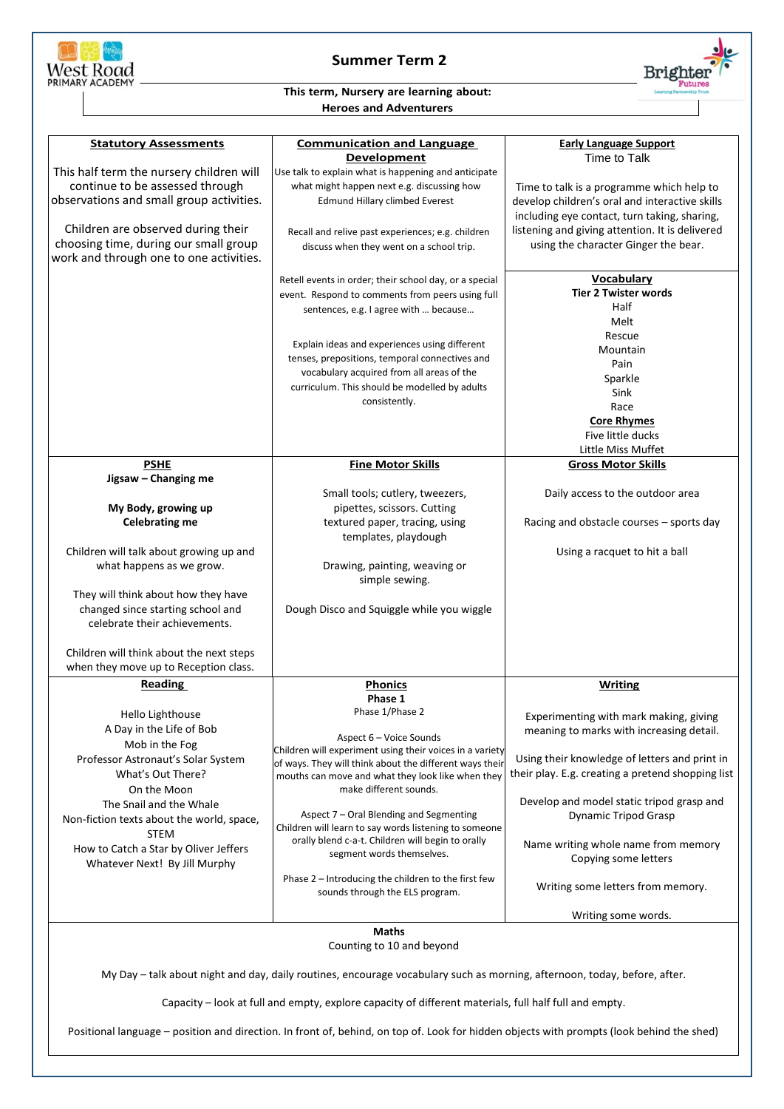

## **Summer Term 2**



## **This term, Nursery are learning about: Heroes and Adventurers**

| <b>Statutory Assessments</b>                                                                                                                                                                                                       | <b>Communication and Language</b>                                                                                                                                                                                                                                                                                                                                     | <b>Early Language Support</b>                                                                                                               |  |
|------------------------------------------------------------------------------------------------------------------------------------------------------------------------------------------------------------------------------------|-----------------------------------------------------------------------------------------------------------------------------------------------------------------------------------------------------------------------------------------------------------------------------------------------------------------------------------------------------------------------|---------------------------------------------------------------------------------------------------------------------------------------------|--|
|                                                                                                                                                                                                                                    | <b>Development</b>                                                                                                                                                                                                                                                                                                                                                    | Time to Talk                                                                                                                                |  |
| This half term the nursery children will<br>continue to be assessed through<br>observations and small group activities.                                                                                                            | Use talk to explain what is happening and anticipate<br>what might happen next e.g. discussing how<br><b>Edmund Hillary climbed Everest</b>                                                                                                                                                                                                                           | Time to talk is a programme which help to<br>develop children's oral and interactive skills<br>including eye contact, turn taking, sharing, |  |
| Children are observed during their<br>choosing time, during our small group<br>work and through one to one activities.                                                                                                             | Recall and relive past experiences; e.g. children<br>discuss when they went on a school trip.                                                                                                                                                                                                                                                                         | listening and giving attention. It is delivered<br>using the character Ginger the bear.                                                     |  |
|                                                                                                                                                                                                                                    | Retell events in order; their school day, or a special<br>event. Respond to comments from peers using full<br>sentences, e.g. I agree with  because<br>Explain ideas and experiences using different<br>tenses, prepositions, temporal connectives and<br>vocabulary acquired from all areas of the<br>curriculum. This should be modelled by adults<br>consistently. | <b>Vocabulary</b><br><b>Tier 2 Twister words</b><br>Half<br>Melt<br>Rescue<br>Mountain<br>Pain<br>Sparkle<br>Sink<br>Race                   |  |
|                                                                                                                                                                                                                                    |                                                                                                                                                                                                                                                                                                                                                                       | <b>Core Rhymes</b><br>Five little ducks<br>Little Miss Muffet                                                                               |  |
| <b>PSHE</b>                                                                                                                                                                                                                        | <b>Fine Motor Skills</b>                                                                                                                                                                                                                                                                                                                                              | <b>Gross Motor Skills</b>                                                                                                                   |  |
| Jigsaw - Changing me<br>My Body, growing up                                                                                                                                                                                        | Small tools; cutlery, tweezers,<br>pipettes, scissors. Cutting                                                                                                                                                                                                                                                                                                        | Daily access to the outdoor area                                                                                                            |  |
| <b>Celebrating me</b>                                                                                                                                                                                                              | textured paper, tracing, using<br>templates, playdough                                                                                                                                                                                                                                                                                                                | Racing and obstacle courses - sports day                                                                                                    |  |
| Children will talk about growing up and<br>what happens as we grow.                                                                                                                                                                | Drawing, painting, weaving or<br>simple sewing.                                                                                                                                                                                                                                                                                                                       | Using a racquet to hit a ball                                                                                                               |  |
| They will think about how they have<br>changed since starting school and<br>celebrate their achievements.                                                                                                                          | Dough Disco and Squiggle while you wiggle                                                                                                                                                                                                                                                                                                                             |                                                                                                                                             |  |
| Children will think about the next steps<br>when they move up to Reception class.                                                                                                                                                  |                                                                                                                                                                                                                                                                                                                                                                       |                                                                                                                                             |  |
| Reading                                                                                                                                                                                                                            | <b>Phonics</b>                                                                                                                                                                                                                                                                                                                                                        | <b>Writing</b>                                                                                                                              |  |
| Hello Lighthouse<br>A Day in the Life of Bob<br>Mob in the Fog<br>Professor Astronaut's Solar System                                                                                                                               | Phase 1<br>Phase 1/Phase 2<br>Aspect 6 - Voice Sounds<br>Children will experiment using their voices in a variety<br>of ways. They will think about the different ways their                                                                                                                                                                                          | Experimenting with mark making, giving<br>meaning to marks with increasing detail.<br>Using their knowledge of letters and print in         |  |
| What's Out There?<br>On the Moon<br>The Snail and the Whale                                                                                                                                                                        | mouths can move and what they look like when they<br>make different sounds.                                                                                                                                                                                                                                                                                           | their play. E.g. creating a pretend shopping list<br>Develop and model static tripod grasp and                                              |  |
| Non-fiction texts about the world, space,<br><b>STEM</b><br>How to Catch a Star by Oliver Jeffers<br>Whatever Next! By Jill Murphy                                                                                                 | Aspect 7 - Oral Blending and Segmenting<br>Children will learn to say words listening to someone<br>orally blend c-a-t. Children will begin to orally<br>segment words themselves.                                                                                                                                                                                    | <b>Dynamic Tripod Grasp</b><br>Name writing whole name from memory<br>Copying some letters                                                  |  |
|                                                                                                                                                                                                                                    | Phase 2 - Introducing the children to the first few<br>sounds through the ELS program.                                                                                                                                                                                                                                                                                | Writing some letters from memory.                                                                                                           |  |
|                                                                                                                                                                                                                                    |                                                                                                                                                                                                                                                                                                                                                                       | Writing some words.                                                                                                                         |  |
| Maths<br>Counting to 10 and beyond                                                                                                                                                                                                 |                                                                                                                                                                                                                                                                                                                                                                       |                                                                                                                                             |  |
| My Day - talk about night and day, daily routines, encourage vocabulary such as morning, afternoon, today, before, after.<br>Capacity - look at full and empty, explore capacity of different materials, full half full and empty. |                                                                                                                                                                                                                                                                                                                                                                       |                                                                                                                                             |  |

Positional language – position and direction. In front of, behind, on top of. Look for hidden objects with prompts (look behind the shed)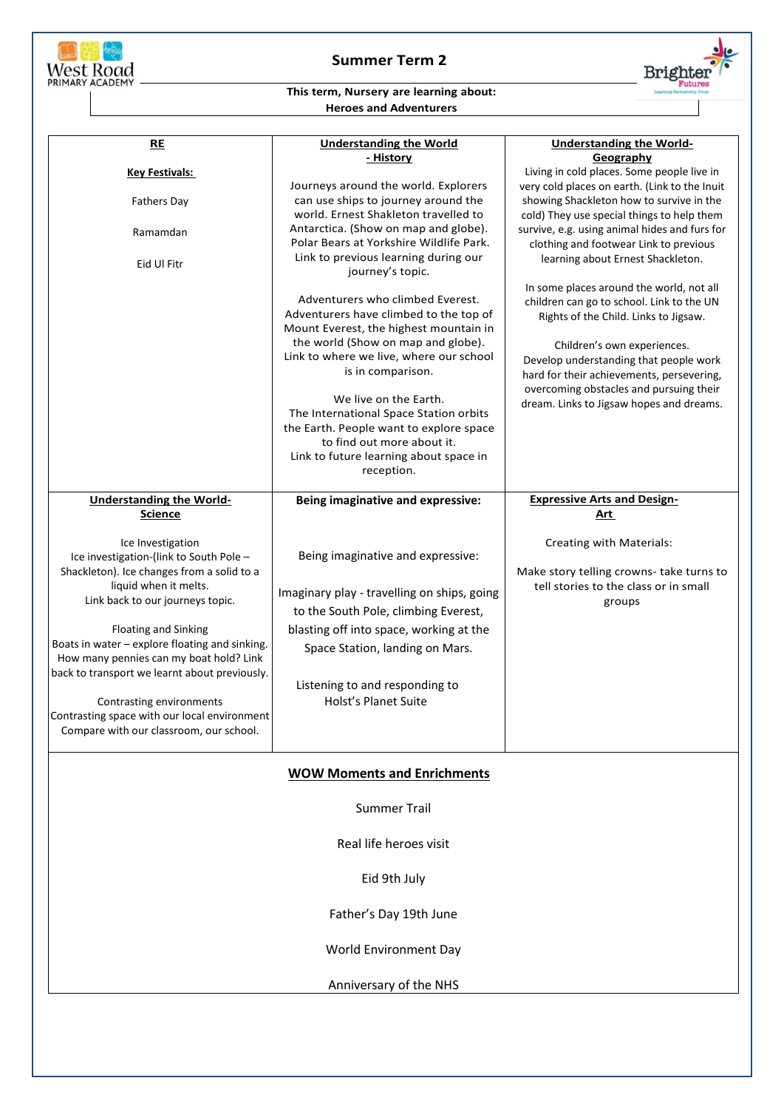

## **Summer Term 2**



## **This term, Nursery are learning about: Heroes and Adventurers**

| RE<br><b>Key Festivals:</b><br><b>Fathers Day</b><br>Ramamdan<br>Eid Ul Fitr                                                                                                                                                                                                                                                                                                                                                                                                | <b>Understanding the World</b><br>- History<br>Journeys around the world. Explorers<br>can use ships to journey around the<br>world. Ernest Shakleton travelled to<br>Antarctica. (Show on map and globe).<br>Polar Bears at Yorkshire Wildlife Park.<br>Link to previous learning during our<br>journey's topic.<br>Adventurers who climbed Everest.<br>Adventurers have climbed to the top of<br>Mount Everest, the highest mountain in<br>the world (Show on map and globe).<br>Link to where we live, where our school<br>is in comparison.<br>We live on the Earth.<br>The International Space Station orbits<br>the Earth. People want to explore space<br>to find out more about it.<br>Link to future learning about space in<br>reception. | <b>Understanding the World-</b><br>Geography<br>Living in cold places. Some people live in<br>very cold places on earth. (Link to the Inuit<br>showing Shackleton how to survive in the<br>cold) They use special things to help them<br>survive, e.g. using animal hides and furs for<br>clothing and footwear Link to previous<br>learning about Ernest Shackleton.<br>In some places around the world, not all<br>children can go to school. Link to the UN<br>Rights of the Child. Links to Jigsaw.<br>Children's own experiences.<br>Develop understanding that people work<br>hard for their achievements, persevering,<br>overcoming obstacles and pursuing their<br>dream. Links to Jigsaw hopes and dreams. |
|-----------------------------------------------------------------------------------------------------------------------------------------------------------------------------------------------------------------------------------------------------------------------------------------------------------------------------------------------------------------------------------------------------------------------------------------------------------------------------|-----------------------------------------------------------------------------------------------------------------------------------------------------------------------------------------------------------------------------------------------------------------------------------------------------------------------------------------------------------------------------------------------------------------------------------------------------------------------------------------------------------------------------------------------------------------------------------------------------------------------------------------------------------------------------------------------------------------------------------------------------|----------------------------------------------------------------------------------------------------------------------------------------------------------------------------------------------------------------------------------------------------------------------------------------------------------------------------------------------------------------------------------------------------------------------------------------------------------------------------------------------------------------------------------------------------------------------------------------------------------------------------------------------------------------------------------------------------------------------|
| <b>Understanding the World-</b>                                                                                                                                                                                                                                                                                                                                                                                                                                             | Being imaginative and expressive:                                                                                                                                                                                                                                                                                                                                                                                                                                                                                                                                                                                                                                                                                                                   | <b>Expressive Arts and Design-</b>                                                                                                                                                                                                                                                                                                                                                                                                                                                                                                                                                                                                                                                                                   |
| <b>Science</b>                                                                                                                                                                                                                                                                                                                                                                                                                                                              |                                                                                                                                                                                                                                                                                                                                                                                                                                                                                                                                                                                                                                                                                                                                                     | Art                                                                                                                                                                                                                                                                                                                                                                                                                                                                                                                                                                                                                                                                                                                  |
| Ice Investigation<br>Ice investigation-(link to South Pole -<br>Shackleton). Ice changes from a solid to a<br>liquid when it melts.<br>Link back to our journeys topic.<br><b>Floating and Sinking</b><br>Boats in water - explore floating and sinking.<br>How many pennies can my boat hold? Link<br>back to transport we learnt about previously.<br>Contrasting environments<br>Contrasting space with our local environment<br>Compare with our classroom, our school. | Being imaginative and expressive:<br>Imaginary play - travelling on ships, going<br>to the South Pole, climbing Everest,<br>blasting off into space, working at the<br>Space Station, landing on Mars.<br>Listening to and responding to<br><b>Holst's Planet Suite</b>                                                                                                                                                                                                                                                                                                                                                                                                                                                                             | Creating with Materials:<br>Make story telling crowns- take turns to<br>tell stories to the class or in small<br>groups                                                                                                                                                                                                                                                                                                                                                                                                                                                                                                                                                                                              |
|                                                                                                                                                                                                                                                                                                                                                                                                                                                                             |                                                                                                                                                                                                                                                                                                                                                                                                                                                                                                                                                                                                                                                                                                                                                     |                                                                                                                                                                                                                                                                                                                                                                                                                                                                                                                                                                                                                                                                                                                      |
|                                                                                                                                                                                                                                                                                                                                                                                                                                                                             | <b>WOW Moments and Enrichments</b><br><b>Summer Trail</b><br>Real life heroes visit<br>Eid 9th July<br>Father's Day 19th June<br>World Environment Day<br>Anniversary of the NHS                                                                                                                                                                                                                                                                                                                                                                                                                                                                                                                                                                    |                                                                                                                                                                                                                                                                                                                                                                                                                                                                                                                                                                                                                                                                                                                      |